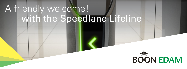## A friendly welcome! with the Speedlane Lifeline

## **BOON EDAM**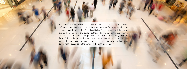As pedestrian mobility increases so does the need for a sophisticated, intuitive, refined and yet secure entry management experience for those entering and moving around buildings. The Speedlane Lifeline Series interacts with those who approach it, managing and guiding authorised users through to the secured areas of buildings. Commonly operating in multiples, thus fluently guiding the flow of high visitor levels; it acts as a boundary between public and private worlds. It interacts with both worlds to ensure the right people are channelled to the right place, placing the control of the entry in its hands.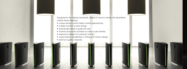Designed to the highest standards, ahead of industry trends, the Speedlane Lifeline Series features:

- unique sensors which detect visitors approaching
- a sleep function to save energy
- pulsing light strips to guide the user
- intuitive and proven symbols to make it user friendly
- ergonomic design for customer comfort
- customisation possibilities in fitting with interior design
- premium quality materials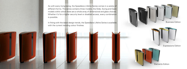As with every living being, the Speedlane Lifeline Series comes in a variety of different forms. The series contains three models, the Slide, Swing and Open models within which there are a whole array of dimensional and glass choices. Whether it's for a higher security level or disabled access, every combination is possible.

In fitting with the latest design trends, the Speedlane Lifeline Series is available with the current trending colour finishes.

Business Edition

Expressions Edition

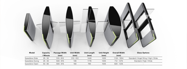| <b>Model</b>    | Capacity  | <b>Passage Width</b> | <b>Unit Width</b> | <b>Unit Length</b> | <b>Unit Height</b> | <b>Overall Width</b> | <b>Glass Options</b>                |
|-----------------|-----------|----------------------|-------------------|--------------------|--------------------|----------------------|-------------------------------------|
|                 | / Minute  | (mm)                 | (mm)              | (mm)               | (mm)               | (mm)                 |                                     |
| Speedlane Slide | $25 - 30$ | $510 - 910$          | $312 - 512$       | 1440               | 1035               | 1134 - 1934          | Standard / Angel Wing / High / Wide |
| Speedlane Swing | $25 - 30$ | $500 - 915$          | 106               | 1776               | 1035               | 712 - 1275           | Standard / High / Wide              |
| Speedlane Open  | $50 - 60$ | $500 - 915$          | 160               | 760                | 1035               | 820 - 1235           |                                     |